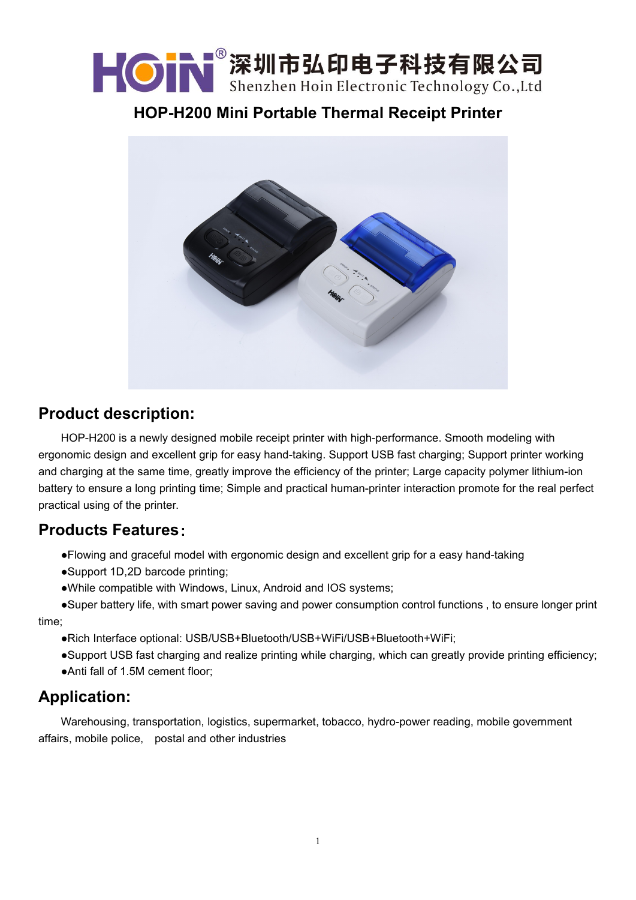# HON 深圳市弘印电子科技有限公司 Shenzhen Hoin Electronic Technology Co., Ltd

#### **HOP-H200 Mini Portable Thermal Receipt Printer**



## **Product description:**

HOP-H200 is a newly designed mobile receipt printer with high-performance. Smooth modeling with ergonomic design and excellent grip for easy hand-taking. Support USB fast charging; Support printer working and charging at the same time, greatly improve the efficiency of the printer; Large capacity polymer lithium-ion battery to ensure a long printing time; Simple and practical human-printer interaction promote for the real perfect practical using of the printer.

## **Products Features**:

- ●Flowing and graceful model with ergonomic design and excellent grip for a easy hand-taking
- ●Support 1D,2D barcode printing;
- ●While compatible with Windows, Linux, Android and IOS systems;
- ●Super battery life, with smart power saving and power consumption control functions , to ensure longer print time;
	- ●Rich Interface optional: USB/USB+Bluetooth/USB+WiFi/USB+Bluetooth+WiFi;
	- ●Support USB fast charging and realize printing while charging, which can greatly provide printing efficiency;
	- ●Anti fall of 1.5M cement floor;

## **Application:**

Warehousing, transportation, logistics, supermarket, tobacco, hydro-power reading, mobile government affairs, mobile police, postal and other industries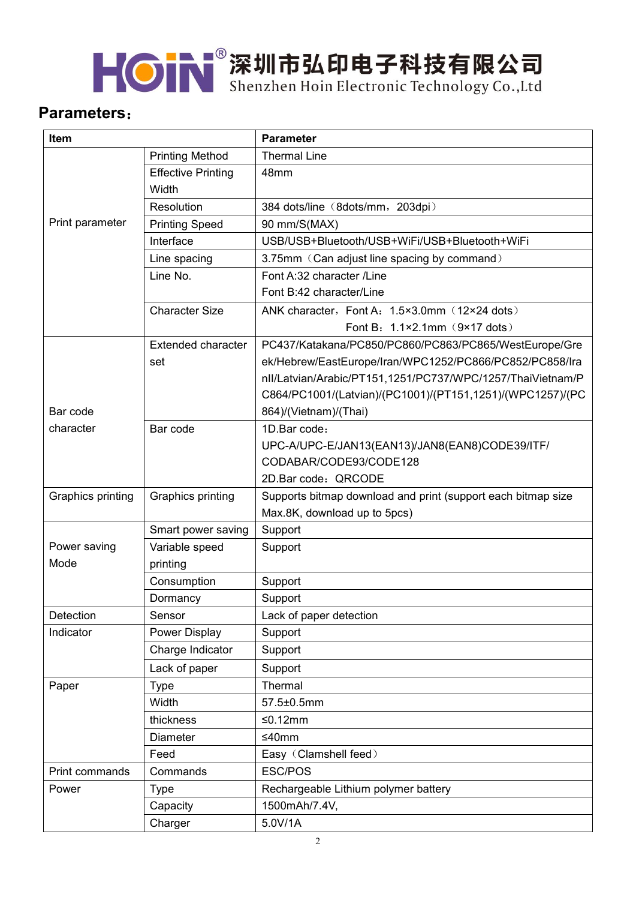

## **Parameters**:

| <b>Item</b>       |                                    | <b>Parameter</b>                                             |
|-------------------|------------------------------------|--------------------------------------------------------------|
|                   | <b>Printing Method</b>             | <b>Thermal Line</b>                                          |
|                   | <b>Effective Printing</b><br>Width | 48mm                                                         |
| Print parameter   | Resolution                         | 384 dots/line (8dots/mm, 203dpi)                             |
|                   | <b>Printing Speed</b>              | 90 mm/S(MAX)                                                 |
|                   | Interface                          | USB/USB+Bluetooth/USB+WiFi/USB+Bluetooth+WiFi                |
|                   | Line spacing                       | 3.75mm (Can adjust line spacing by command)                  |
|                   | Line No.                           | Font A:32 character /Line                                    |
|                   |                                    | Font B:42 character/Line                                     |
|                   | <b>Character Size</b>              | ANK character, Font A: 1.5×3.0mm (12×24 dots)                |
|                   |                                    | Font B: 1.1×2.1mm (9×17 dots)                                |
|                   | <b>Extended character</b>          | PC437/Katakana/PC850/PC860/PC863/PC865/WestEurope/Gre        |
|                   | set                                | ek/Hebrew/EastEurope/Iran/WPC1252/PC866/PC852/PC858/Ira      |
|                   |                                    | nll/Latvian/Arabic/PT151,1251/PC737/WPC/1257/ThaiVietnam/P   |
|                   |                                    | C864/PC1001/(Latvian)/(PC1001)/(PT151,1251)/(WPC1257)/(PC    |
| Bar code          |                                    | 864)/(Vietnam)/(Thai)                                        |
| character         | Bar code                           | 1D.Bar code:                                                 |
|                   |                                    | UPC-A/UPC-E/JAN13(EAN13)/JAN8(EAN8)CODE39/ITF/               |
|                   |                                    | CODABAR/CODE93/CODE128                                       |
|                   |                                    | 2D.Bar code: QRCODE                                          |
| Graphics printing | <b>Graphics printing</b>           | Supports bitmap download and print (support each bitmap size |
|                   |                                    | Max.8K, download up to 5pcs)                                 |
|                   | Smart power saving                 | Support                                                      |
| Power saving      | Variable speed                     | Support                                                      |
| Mode              | printing                           |                                                              |
|                   | Consumption                        | Support                                                      |
|                   | Dormancy                           | Support                                                      |
| Detection         | Sensor                             | Lack of paper detection                                      |
| Indicator         | Power Display                      | Support                                                      |
|                   | Charge Indicator                   | Support                                                      |
|                   | Lack of paper                      | Support                                                      |
| Paper             | <b>Type</b>                        | Thermal                                                      |
|                   | <b>Width</b>                       | 57.5±0.5mm                                                   |
|                   | thickness                          | $≤0.12mm$                                                    |
|                   | <b>Diameter</b>                    | ≤40mm                                                        |
|                   | Feed                               | Easy (Clamshell feed)                                        |
| Print commands    | Commands                           | <b>ESC/POS</b>                                               |
| Power             | <b>Type</b>                        | Rechargeable Lithium polymer battery                         |
|                   | Capacity                           | 1500mAh/7.4V,                                                |
|                   | Charger                            | 5.0V/1A                                                      |
|                   |                                    |                                                              |